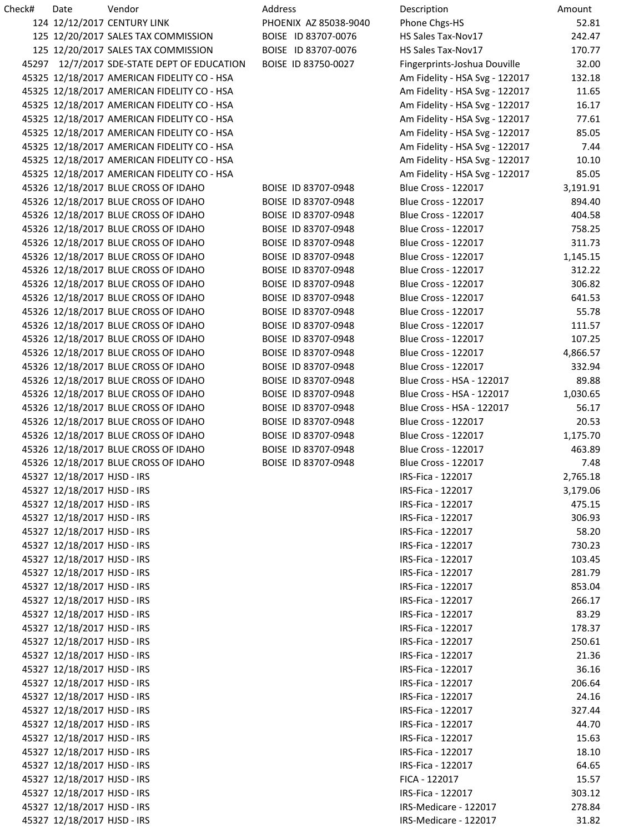| Check# | Date                        | Vendor                                      | Address               | Description                    | Amount   |
|--------|-----------------------------|---------------------------------------------|-----------------------|--------------------------------|----------|
|        |                             | 124 12/12/2017 CENTURY LINK                 | PHOENIX AZ 85038-9040 | Phone Chgs-HS                  | 52.81    |
|        |                             | 125 12/20/2017 SALES TAX COMMISSION         | BOISE ID 83707-0076   | HS Sales Tax-Nov17             | 242.47   |
|        |                             | 125 12/20/2017 SALES TAX COMMISSION         | BOISE ID 83707-0076   | HS Sales Tax-Nov17             | 170.77   |
|        |                             | 45297 12/7/2017 SDE-STATE DEPT OF EDUCATION | BOISE ID 83750-0027   | Fingerprints-Joshua Douville   | 32.00    |
|        |                             | 45325 12/18/2017 AMERICAN FIDELITY CO - HSA |                       | Am Fidelity - HSA Svg - 122017 | 132.18   |
|        |                             | 45325 12/18/2017 AMERICAN FIDELITY CO - HSA |                       | Am Fidelity - HSA Svg - 122017 | 11.65    |
|        |                             | 45325 12/18/2017 AMERICAN FIDELITY CO - HSA |                       | Am Fidelity - HSA Svg - 122017 | 16.17    |
|        |                             | 45325 12/18/2017 AMERICAN FIDELITY CO - HSA |                       | Am Fidelity - HSA Svg - 122017 | 77.61    |
|        |                             | 45325 12/18/2017 AMERICAN FIDELITY CO - HSA |                       | Am Fidelity - HSA Svg - 122017 | 85.05    |
|        |                             | 45325 12/18/2017 AMERICAN FIDELITY CO - HSA |                       | Am Fidelity - HSA Svg - 122017 | 7.44     |
|        |                             | 45325 12/18/2017 AMERICAN FIDELITY CO - HSA |                       | Am Fidelity - HSA Svg - 122017 | 10.10    |
|        |                             | 45325 12/18/2017 AMERICAN FIDELITY CO - HSA |                       | Am Fidelity - HSA Svg - 122017 | 85.05    |
|        |                             | 45326 12/18/2017 BLUE CROSS OF IDAHO        | BOISE ID 83707-0948   | <b>Blue Cross - 122017</b>     | 3,191.91 |
|        |                             | 45326 12/18/2017 BLUE CROSS OF IDAHO        | BOISE ID 83707-0948   | <b>Blue Cross - 122017</b>     | 894.40   |
|        |                             | 45326 12/18/2017 BLUE CROSS OF IDAHO        | BOISE ID 83707-0948   | <b>Blue Cross - 122017</b>     | 404.58   |
|        |                             | 45326 12/18/2017 BLUE CROSS OF IDAHO        | BOISE ID 83707-0948   | <b>Blue Cross - 122017</b>     | 758.25   |
|        |                             | 45326 12/18/2017 BLUE CROSS OF IDAHO        | BOISE ID 83707-0948   | <b>Blue Cross - 122017</b>     | 311.73   |
|        |                             | 45326 12/18/2017 BLUE CROSS OF IDAHO        | BOISE ID 83707-0948   | <b>Blue Cross - 122017</b>     | 1,145.15 |
|        |                             | 45326 12/18/2017 BLUE CROSS OF IDAHO        | BOISE ID 83707-0948   | <b>Blue Cross - 122017</b>     | 312.22   |
|        |                             | 45326 12/18/2017 BLUE CROSS OF IDAHO        | BOISE ID 83707-0948   | <b>Blue Cross - 122017</b>     | 306.82   |
|        |                             | 45326 12/18/2017 BLUE CROSS OF IDAHO        | BOISE ID 83707-0948   | <b>Blue Cross - 122017</b>     | 641.53   |
|        |                             | 45326 12/18/2017 BLUE CROSS OF IDAHO        | BOISE ID 83707-0948   | <b>Blue Cross - 122017</b>     | 55.78    |
|        |                             | 45326 12/18/2017 BLUE CROSS OF IDAHO        | BOISE ID 83707-0948   | <b>Blue Cross - 122017</b>     | 111.57   |
|        |                             | 45326 12/18/2017 BLUE CROSS OF IDAHO        | BOISE ID 83707-0948   | <b>Blue Cross - 122017</b>     | 107.25   |
|        |                             | 45326 12/18/2017 BLUE CROSS OF IDAHO        | BOISE ID 83707-0948   | <b>Blue Cross - 122017</b>     | 4,866.57 |
|        |                             | 45326 12/18/2017 BLUE CROSS OF IDAHO        | BOISE ID 83707-0948   | <b>Blue Cross - 122017</b>     | 332.94   |
|        |                             | 45326 12/18/2017 BLUE CROSS OF IDAHO        | BOISE ID 83707-0948   | Blue Cross - HSA - 122017      | 89.88    |
|        |                             | 45326 12/18/2017 BLUE CROSS OF IDAHO        | BOISE ID 83707-0948   | Blue Cross - HSA - 122017      | 1,030.65 |
|        |                             | 45326 12/18/2017 BLUE CROSS OF IDAHO        | BOISE ID 83707-0948   | Blue Cross - HSA - 122017      | 56.17    |
|        |                             | 45326 12/18/2017 BLUE CROSS OF IDAHO        | BOISE ID 83707-0948   | <b>Blue Cross - 122017</b>     | 20.53    |
|        |                             | 45326 12/18/2017 BLUE CROSS OF IDAHO        | BOISE ID 83707-0948   | <b>Blue Cross - 122017</b>     | 1,175.70 |
|        |                             | 45326 12/18/2017 BLUE CROSS OF IDAHO        | BOISE ID 83707-0948   | <b>Blue Cross - 122017</b>     | 463.89   |
|        |                             | 45326 12/18/2017 BLUE CROSS OF IDAHO        | BOISE ID 83707-0948   | <b>Blue Cross - 122017</b>     | 7.48     |
|        | 45327 12/18/2017 HJSD - IRS |                                             |                       | IRS-Fica - 122017              | 2,765.18 |
|        | 45327 12/18/2017 HJSD - IRS |                                             |                       | IRS-Fica - 122017              | 3,179.06 |
|        | 45327 12/18/2017 HJSD - IRS |                                             |                       | IRS-Fica - 122017              | 475.15   |
|        | 45327 12/18/2017 HJSD - IRS |                                             |                       | IRS-Fica - 122017              | 306.93   |
|        | 45327 12/18/2017 HJSD - IRS |                                             |                       | IRS-Fica - 122017              | 58.20    |
|        | 45327 12/18/2017 HJSD - IRS |                                             |                       | IRS-Fica - 122017              | 730.23   |
|        | 45327 12/18/2017 HJSD - IRS |                                             |                       | IRS-Fica - 122017              | 103.45   |
|        | 45327 12/18/2017 HJSD - IRS |                                             |                       | IRS-Fica - 122017              | 281.79   |
|        | 45327 12/18/2017 HJSD - IRS |                                             |                       | IRS-Fica - 122017              | 853.04   |
|        | 45327 12/18/2017 HJSD - IRS |                                             |                       | IRS-Fica - 122017              | 266.17   |
|        | 45327 12/18/2017 HJSD - IRS |                                             |                       | IRS-Fica - 122017              | 83.29    |
|        | 45327 12/18/2017 HJSD - IRS |                                             |                       | IRS-Fica - 122017              | 178.37   |
|        | 45327 12/18/2017 HJSD - IRS |                                             |                       | IRS-Fica - 122017              | 250.61   |
|        | 45327 12/18/2017 HJSD - IRS |                                             |                       | IRS-Fica - 122017              | 21.36    |
|        | 45327 12/18/2017 HJSD - IRS |                                             |                       | IRS-Fica - 122017              | 36.16    |
|        | 45327 12/18/2017 HJSD - IRS |                                             |                       | IRS-Fica - 122017              | 206.64   |
|        | 45327 12/18/2017 HJSD - IRS |                                             |                       | IRS-Fica - 122017              | 24.16    |
|        | 45327 12/18/2017 HJSD - IRS |                                             |                       | IRS-Fica - 122017              | 327.44   |
|        | 45327 12/18/2017 HJSD - IRS |                                             |                       | IRS-Fica - 122017              | 44.70    |
|        | 45327 12/18/2017 HJSD - IRS |                                             |                       | IRS-Fica - 122017              | 15.63    |
|        | 45327 12/18/2017 HJSD - IRS |                                             |                       | IRS-Fica - 122017              | 18.10    |
|        | 45327 12/18/2017 HJSD - IRS |                                             |                       | IRS-Fica - 122017              | 64.65    |
|        | 45327 12/18/2017 HJSD - IRS |                                             |                       | FICA - 122017                  | 15.57    |
|        | 45327 12/18/2017 HJSD - IRS |                                             |                       | IRS-Fica - 122017              | 303.12   |
|        | 45327 12/18/2017 HJSD - IRS |                                             |                       | IRS-Medicare - 122017          | 278.84   |
|        | 45327 12/18/2017 HJSD - IRS |                                             |                       | IRS-Medicare - 122017          | 31.82    |
|        |                             |                                             |                       |                                |          |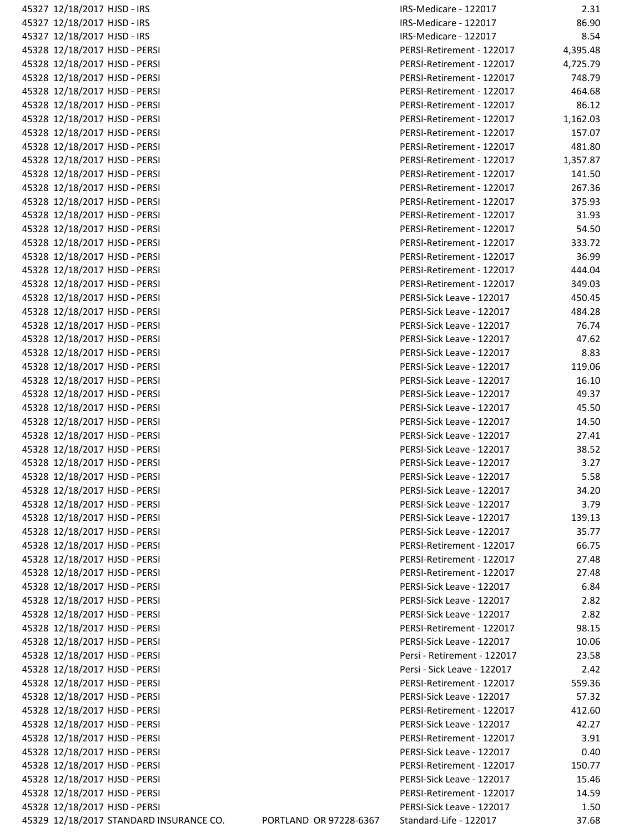| 45327 12/18/2017 HJSD - IRS                                    |                                         |                        |
|----------------------------------------------------------------|-----------------------------------------|------------------------|
| 45327 12/18/2017 HJSD - IRS                                    |                                         |                        |
| 45327 12/18/2017 HJSD - IRS                                    |                                         |                        |
| 45328 12/18/2017 HJSD - PERSI                                  |                                         |                        |
| 45328 12/18/2017 HJSD - PERSI                                  |                                         |                        |
| 45328 12/18/2017 HJSD - PERSI                                  |                                         |                        |
| 45328 12/18/2017 HJSD - PERSI                                  |                                         |                        |
| 45328 12/18/2017 HJSD - PERSI                                  |                                         |                        |
| 45328 12/18/2017 HJSD - PERSI                                  |                                         |                        |
| 45328 12/18/2017 HJSD - PERSI                                  |                                         |                        |
| 45328 12/18/2017 HJSD - PERSI                                  |                                         |                        |
| 45328 12/18/2017 HJSD - PERSI                                  |                                         |                        |
| 45328 12/18/2017 HJSD - PERSI                                  |                                         |                        |
| 45328 12/18/2017 HJSD - PERSI                                  |                                         |                        |
| 45328 12/18/2017 HJSD - PERSI                                  |                                         |                        |
| 45328 12/18/2017 HJSD - PERSI                                  |                                         |                        |
| 45328 12/18/2017 HJSD - PERSI                                  |                                         |                        |
| 45328 12/18/2017 HJSD - PERSI                                  |                                         |                        |
| 45328 12/18/2017 HJSD - PERSI                                  |                                         |                        |
| 45328 12/18/2017 HJSD - PERSI                                  |                                         |                        |
| 45328 12/18/2017 HJSD - PERSI                                  |                                         |                        |
| 45328 12/18/2017 HJSD - PERSI                                  |                                         |                        |
| 45328 12/18/2017 HJSD - PERSI                                  |                                         |                        |
|                                                                |                                         |                        |
| 45328 12/18/2017 HJSD - PERSI                                  |                                         |                        |
| 45328 12/18/2017 HJSD - PERSI                                  |                                         |                        |
| 45328 12/18/2017 HJSD - PERSI                                  |                                         |                        |
| 45328 12/18/2017 HJSD - PERSI                                  |                                         |                        |
| 45328 12/18/2017 HJSD - PERSI                                  |                                         |                        |
| 45328 12/18/2017 HJSD - PERSI                                  |                                         |                        |
| 45328 12/18/2017 HJSD - PERSI                                  |                                         |                        |
| 45328 12/18/2017 HJSD - PERSI                                  |                                         |                        |
| 45328 12/18/2017 HJSD - PERSI                                  |                                         |                        |
| 45328 12/18/2017 HJSD - PERSI                                  |                                         |                        |
| 45328 12/18/2017 HJSD - PERSI<br>45328 12/18/2017 HJSD - PERSI |                                         |                        |
|                                                                |                                         |                        |
| 45328 12/18/2017 HJSD - PERSI                                  |                                         |                        |
| 45328 12/18/2017 HJSD - PERSI                                  |                                         |                        |
| 45328 12/18/2017 HJSD - PERSI                                  |                                         |                        |
| 45328 12/18/2017 HJSD - PERSI                                  |                                         |                        |
| 45328 12/18/2017 HJSD - PERSI                                  |                                         |                        |
| 45328 12/18/2017 HJSD - PERSI                                  |                                         |                        |
| 45328 12/18/2017 HJSD - PERSI                                  |                                         |                        |
| 45328 12/18/2017 HJSD - PERSI                                  |                                         |                        |
| 45328 12/18/2017 HJSD - PERSI                                  |                                         |                        |
| 45328 12/18/2017 HJSD - PERSI                                  |                                         |                        |
| 45328 12/18/2017 HJSD - PERSI                                  |                                         |                        |
| 45328 12/18/2017 HJSD - PERSI                                  |                                         |                        |
| 45328 12/18/2017 HJSD - PERSI                                  |                                         |                        |
| 45328 12/18/2017 HJSD - PERSI                                  |                                         |                        |
| 45328 12/18/2017 HJSD - PERSI                                  |                                         |                        |
| 45328 12/18/2017 HJSD - PERSI                                  |                                         |                        |
| 45328 12/18/2017 HJSD - PERSI                                  |                                         |                        |
| 45328 12/18/2017 HJSD - PERSI                                  |                                         |                        |
| 45328 12/18/2017 HJSD - PERSI                                  |                                         |                        |
| 45328 12/18/2017 HJSD - PERSI                                  |                                         |                        |
| 45328 12/18/2017 HJSD - PERSI                                  |                                         |                        |
| 45328 12/18/2017 HJSD - PERSI                                  |                                         |                        |
| 45328 12/18/2017 HJSD - PERSI                                  |                                         |                        |
| 45328 12/18/2017 HJSD - PERSI                                  |                                         |                        |
|                                                                | 45329 12/18/2017 STANDARD INSURANCE CO. | PORTLAND OR 97228-6367 |

| 45327 12/18/2017 HJSD - IRS             |                        | IRS-Medicare - 122017       | 2.31     |
|-----------------------------------------|------------------------|-----------------------------|----------|
| 45327 12/18/2017 HJSD - IRS             |                        | IRS-Medicare - 122017       | 86.90    |
| 45327 12/18/2017 HJSD - IRS             |                        | IRS-Medicare - 122017       | 8.54     |
| 45328 12/18/2017 HJSD - PERSI           |                        | PERSI-Retirement - 122017   | 4,395.48 |
| 45328 12/18/2017 HJSD - PERSI           |                        | PERSI-Retirement - 122017   | 4,725.79 |
| 45328 12/18/2017 HJSD - PERSI           |                        | PERSI-Retirement - 122017   | 748.79   |
| 45328 12/18/2017 HJSD - PERSI           |                        | PERSI-Retirement - 122017   | 464.68   |
| 45328 12/18/2017 HJSD - PERSI           |                        | PERSI-Retirement - 122017   | 86.12    |
| 45328 12/18/2017 HJSD - PERSI           |                        | PERSI-Retirement - 122017   | 1,162.03 |
| 45328 12/18/2017 HJSD - PERSI           |                        | PERSI-Retirement - 122017   | 157.07   |
| 45328 12/18/2017 HJSD - PERSI           |                        | PERSI-Retirement - 122017   | 481.80   |
|                                         |                        |                             |          |
| 45328 12/18/2017 HJSD - PERSI           |                        | PERSI-Retirement - 122017   | 1,357.87 |
| 45328 12/18/2017 HJSD - PERSI           |                        | PERSI-Retirement - 122017   | 141.50   |
| 45328 12/18/2017 HJSD - PERSI           |                        | PERSI-Retirement - 122017   | 267.36   |
| 45328 12/18/2017 HJSD - PERSI           |                        | PERSI-Retirement - 122017   | 375.93   |
| 45328 12/18/2017 HJSD - PERSI           |                        | PERSI-Retirement - 122017   | 31.93    |
| 45328 12/18/2017 HJSD - PERSI           |                        | PERSI-Retirement - 122017   | 54.50    |
| 45328 12/18/2017 HJSD - PERSI           |                        | PERSI-Retirement - 122017   | 333.72   |
| 45328 12/18/2017 HJSD - PERSI           |                        | PERSI-Retirement - 122017   | 36.99    |
| 45328 12/18/2017 HJSD - PERSI           |                        | PERSI-Retirement - 122017   | 444.04   |
| 45328 12/18/2017 HJSD - PERSI           |                        | PERSI-Retirement - 122017   | 349.03   |
| 45328 12/18/2017 HJSD - PERSI           |                        | PERSI-Sick Leave - 122017   | 450.45   |
| 45328 12/18/2017 HJSD - PERSI           |                        | PERSI-Sick Leave - 122017   | 484.28   |
| 45328 12/18/2017 HJSD - PERSI           |                        | PERSI-Sick Leave - 122017   | 76.74    |
| 45328 12/18/2017 HJSD - PERSI           |                        | PERSI-Sick Leave - 122017   | 47.62    |
| 45328 12/18/2017 HJSD - PERSI           |                        | PERSI-Sick Leave - 122017   | 8.83     |
| 45328 12/18/2017 HJSD - PERSI           |                        | PERSI-Sick Leave - 122017   | 119.06   |
| 45328 12/18/2017 HJSD - PERSI           |                        | PERSI-Sick Leave - 122017   | 16.10    |
| 45328 12/18/2017 HJSD - PERSI           |                        | PERSI-Sick Leave - 122017   | 49.37    |
| 45328 12/18/2017 HJSD - PERSI           |                        | PERSI-Sick Leave - 122017   | 45.50    |
| 45328 12/18/2017 HJSD - PERSI           |                        | PERSI-Sick Leave - 122017   | 14.50    |
| 45328 12/18/2017 HJSD - PERSI           |                        | PERSI-Sick Leave - 122017   | 27.41    |
| 45328 12/18/2017 HJSD - PERSI           |                        | PERSI-Sick Leave - 122017   | 38.52    |
| 45328 12/18/2017 HJSD - PERSI           |                        | PERSI-Sick Leave - 122017   | 3.27     |
| 45328 12/18/2017 HJSD - PERSI           |                        | PERSI-Sick Leave - 122017   | 5.58     |
| 45328 12/18/2017 HJSD - PERSI           |                        | PERSI-Sick Leave - 122017   | 34.20    |
| 45328 12/18/2017 HJSD - PERSI           |                        | PERSI-Sick Leave - 122017   | 3.79     |
| 45328 12/18/2017 HJSD - PERSI           |                        | PERSI-Sick Leave - 122017   | 139.13   |
| 45328 12/18/2017 HJSD - PERSI           |                        | PERSI-Sick Leave - 122017   | 35.77    |
| 45328 12/18/2017 HJSD - PERSI           |                        | PERSI-Retirement - 122017   | 66.75    |
|                                         |                        |                             |          |
| 45328 12/18/2017 HJSD - PERSI           |                        | PERSI-Retirement - 122017   | 27.48    |
| 45328 12/18/2017 HJSD - PERSI           |                        | PERSI-Retirement - 122017   | 27.48    |
| 45328 12/18/2017 HJSD - PERSI           |                        | PERSI-Sick Leave - 122017   | 6.84     |
| 45328 12/18/2017 HJSD - PERSI           |                        | PERSI-Sick Leave - 122017   | 2.82     |
| 45328 12/18/2017 HJSD - PERSI           |                        | PERSI-Sick Leave - 122017   | 2.82     |
| 45328 12/18/2017 HJSD - PERSI           |                        | PERSI-Retirement - 122017   | 98.15    |
| 45328 12/18/2017 HJSD - PERSI           |                        | PERSI-Sick Leave - 122017   | 10.06    |
| 45328 12/18/2017 HJSD - PERSI           |                        | Persi - Retirement - 122017 | 23.58    |
| 45328 12/18/2017 HJSD - PERSI           |                        | Persi - Sick Leave - 122017 | 2.42     |
| 45328 12/18/2017 HJSD - PERSI           |                        | PERSI-Retirement - 122017   | 559.36   |
| 45328 12/18/2017 HJSD - PERSI           |                        | PERSI-Sick Leave - 122017   | 57.32    |
| 45328 12/18/2017 HJSD - PERSI           |                        | PERSI-Retirement - 122017   | 412.60   |
| 45328 12/18/2017 HJSD - PERSI           |                        | PERSI-Sick Leave - 122017   | 42.27    |
| 45328 12/18/2017 HJSD - PERSI           |                        | PERSI-Retirement - 122017   | 3.91     |
| 45328 12/18/2017 HJSD - PERSI           |                        | PERSI-Sick Leave - 122017   | 0.40     |
| 45328 12/18/2017 HJSD - PERSI           |                        | PERSI-Retirement - 122017   | 150.77   |
| 45328 12/18/2017 HJSD - PERSI           |                        | PERSI-Sick Leave - 122017   | 15.46    |
| 45328 12/18/2017 HJSD - PERSI           |                        | PERSI-Retirement - 122017   | 14.59    |
| 45328 12/18/2017 HJSD - PERSI           |                        | PERSI-Sick Leave - 122017   | 1.50     |
| 45329 12/18/2017 STANDARD INSURANCE CO. | PORTLAND OR 97228-6367 | Standard-Life - 122017      | 37.68    |
|                                         |                        |                             |          |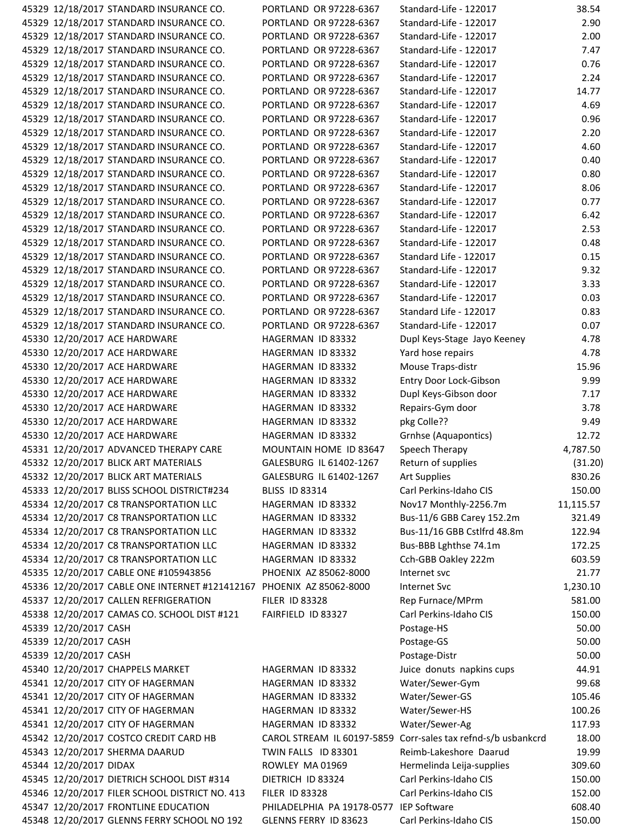| 45329 12/18/2017 STANDARD INSURANCE CO.                              | PORTLAND OR 97228-6367                  | Standard-Life - 122017             | 38.54     |
|----------------------------------------------------------------------|-----------------------------------------|------------------------------------|-----------|
| 45329 12/18/2017 STANDARD INSURANCE CO.                              | PORTLAND OR 97228-6367                  | Standard-Life - 122017             | 2.90      |
| 45329 12/18/2017 STANDARD INSURANCE CO.                              | PORTLAND OR 97228-6367                  | Standard-Life - 122017             | 2.00      |
| 45329 12/18/2017 STANDARD INSURANCE CO.                              | PORTLAND OR 97228-6367                  | Standard-Life - 122017             | 7.47      |
| 45329 12/18/2017 STANDARD INSURANCE CO.                              | PORTLAND OR 97228-6367                  | Standard-Life - 122017             | 0.76      |
| 45329 12/18/2017 STANDARD INSURANCE CO.                              | PORTLAND OR 97228-6367                  | Standard-Life - 122017             | 2.24      |
| 45329 12/18/2017 STANDARD INSURANCE CO.                              | PORTLAND OR 97228-6367                  | Standard-Life - 122017             | 14.77     |
| 45329 12/18/2017 STANDARD INSURANCE CO.                              | PORTLAND OR 97228-6367                  | Standard-Life - 122017             | 4.69      |
| 45329 12/18/2017 STANDARD INSURANCE CO.                              | PORTLAND OR 97228-6367                  | Standard-Life - 122017             | 0.96      |
| 45329 12/18/2017 STANDARD INSURANCE CO.                              | PORTLAND OR 97228-6367                  | Standard-Life - 122017             | 2.20      |
| 45329 12/18/2017 STANDARD INSURANCE CO.                              | PORTLAND OR 97228-6367                  | Standard-Life - 122017             | 4.60      |
| 45329 12/18/2017 STANDARD INSURANCE CO.                              | PORTLAND OR 97228-6367                  | Standard-Life - 122017             | 0.40      |
| 45329 12/18/2017 STANDARD INSURANCE CO.                              | PORTLAND OR 97228-6367                  | Standard-Life - 122017             | 0.80      |
| 45329 12/18/2017 STANDARD INSURANCE CO.                              | PORTLAND OR 97228-6367                  | Standard-Life - 122017             | 8.06      |
| 45329 12/18/2017 STANDARD INSURANCE CO.                              | PORTLAND OR 97228-6367                  | Standard-Life - 122017             | 0.77      |
| 45329 12/18/2017 STANDARD INSURANCE CO.                              | PORTLAND OR 97228-6367                  | Standard-Life - 122017             | 6.42      |
| 45329 12/18/2017 STANDARD INSURANCE CO.                              | PORTLAND OR 97228-6367                  | Standard-Life - 122017             | 2.53      |
| 45329 12/18/2017 STANDARD INSURANCE CO.                              | PORTLAND OR 97228-6367                  | Standard-Life - 122017             | 0.48      |
|                                                                      |                                         |                                    |           |
| 45329 12/18/2017 STANDARD INSURANCE CO.                              | PORTLAND OR 97228-6367                  | Standard Life - 122017             | 0.15      |
| 45329 12/18/2017 STANDARD INSURANCE CO.                              | PORTLAND OR 97228-6367                  | Standard-Life - 122017             | 9.32      |
| 45329 12/18/2017 STANDARD INSURANCE CO.                              | PORTLAND OR 97228-6367                  | Standard-Life - 122017             | 3.33      |
| 45329 12/18/2017 STANDARD INSURANCE CO.                              | PORTLAND OR 97228-6367                  | Standard-Life - 122017             | 0.03      |
| 45329 12/18/2017 STANDARD INSURANCE CO.                              | PORTLAND OR 97228-6367                  | Standard Life - 122017             | 0.83      |
| 45329 12/18/2017 STANDARD INSURANCE CO.                              | PORTLAND OR 97228-6367                  | Standard-Life - 122017             | 0.07      |
| 45330 12/20/2017 ACE HARDWARE                                        | HAGERMAN ID 83332                       | Dupl Keys-Stage Jayo Keeney        | 4.78      |
| 45330 12/20/2017 ACE HARDWARE                                        | HAGERMAN ID 83332                       | Yard hose repairs                  | 4.78      |
| 45330 12/20/2017 ACE HARDWARE                                        | HAGERMAN ID 83332                       | Mouse Traps-distr                  | 15.96     |
| 45330 12/20/2017 ACE HARDWARE                                        | HAGERMAN ID 83332                       | Entry Door Lock-Gibson             | 9.99      |
| 45330 12/20/2017 ACE HARDWARE                                        | HAGERMAN ID 83332                       | Dupl Keys-Gibson door              | 7.17      |
| 45330 12/20/2017 ACE HARDWARE                                        | HAGERMAN ID 83332                       | Repairs-Gym door                   | 3.78      |
| 45330 12/20/2017 ACE HARDWARE                                        | HAGERMAN ID 83332                       | pkg Colle??                        | 9.49      |
| 45330 12/20/2017 ACE HARDWARE                                        | HAGERMAN ID 83332                       | Grnhse (Aquapontics)               | 12.72     |
| 45331 12/20/2017 ADVANCED THERAPY CARE                               | MOUNTAIN HOME ID 83647                  | Speech Therapy                     | 4,787.50  |
| 45332 12/20/2017 BLICK ART MATERIALS                                 | GALESBURG IL 61402-1267                 | Return of supplies                 | (31.20)   |
| 45332 12/20/2017 BLICK ART MATERIALS                                 | GALESBURG IL 61402-1267                 | Art Supplies                       | 830.26    |
| 45333 12/20/2017 BLISS SCHOOL DISTRICT#234                           | <b>BLISS ID 83314</b>                   | Carl Perkins-Idaho CIS             | 150.00    |
| 45334 12/20/2017 C8 TRANSPORTATION LLC                               | HAGERMAN ID 83332                       | Nov17 Monthly-2256.7m              | 11,115.57 |
| 45334 12/20/2017 C8 TRANSPORTATION LLC                               | HAGERMAN ID 83332                       | Bus-11/6 GBB Carey 152.2m          | 321.49    |
| 45334 12/20/2017 C8 TRANSPORTATION LLC                               | HAGERMAN ID 83332                       | Bus-11/16 GBB Cstlfrd 48.8m        | 122.94    |
| 45334 12/20/2017 C8 TRANSPORTATION LLC                               | HAGERMAN ID 83332                       | Bus-BBB Lghthse 74.1m              | 172.25    |
| 45334 12/20/2017 C8 TRANSPORTATION LLC                               | HAGERMAN ID 83332                       | Cch-GBB Oakley 222m                | 603.59    |
| 45335 12/20/2017 CABLE ONE #105943856                                | PHOENIX AZ 85062-8000                   | Internet svc                       | 21.77     |
| 45336 12/20/2017 CABLE ONE INTERNET #121412167 PHOENIX AZ 85062-8000 |                                         | <b>Internet Svc</b>                | 1,230.10  |
| 45337 12/20/2017 CALLEN REFRIGERATION                                | <b>FILER ID 83328</b>                   | Rep Furnace/MPrm                   | 581.00    |
| 45338 12/20/2017 CAMAS CO. SCHOOL DIST #121                          | FAIRFIELD ID 83327                      | Carl Perkins-Idaho CIS             | 150.00    |
| 45339 12/20/2017 CASH                                                |                                         | Postage-HS                         | 50.00     |
| 45339 12/20/2017 CASH                                                |                                         | Postage-GS                         | 50.00     |
| 45339 12/20/2017 CASH                                                |                                         | Postage-Distr                      | 50.00     |
| 45340 12/20/2017 CHAPPELS MARKET                                     | HAGERMAN ID 83332                       | Juice donuts napkins cups          | 44.91     |
| 45341 12/20/2017 CITY OF HAGERMAN                                    | HAGERMAN ID 83332                       | Water/Sewer-Gym                    | 99.68     |
| 45341 12/20/2017 CITY OF HAGERMAN                                    | HAGERMAN ID 83332                       | Water/Sewer-GS                     | 105.46    |
| 45341 12/20/2017 CITY OF HAGERMAN                                    | HAGERMAN ID 83332                       | Water/Sewer-HS                     | 100.26    |
| 45341 12/20/2017 CITY OF HAGERMAN                                    | HAGERMAN ID 83332                       | Water/Sewer-Ag                     | 117.93    |
| 45342 12/20/2017 COSTCO CREDIT CARD HB                               | CAROL STREAM IL 60197-5859              | Corr-sales tax refnd-s/b usbankcrd | 18.00     |
| 45343 12/20/2017 SHERMA DAARUD                                       | TWIN FALLS ID 83301                     | Reimb-Lakeshore Daarud             | 19.99     |
| 45344 12/20/2017 DIDAX                                               | ROWLEY MA 01969                         | Hermelinda Leija-supplies          | 309.60    |
| 45345 12/20/2017 DIETRICH SCHOOL DIST #314                           | DIETRICH ID 83324                       | Carl Perkins-Idaho CIS             | 150.00    |
| 45346 12/20/2017 FILER SCHOOL DISTRICT NO. 413                       | <b>FILER ID 83328</b>                   | Carl Perkins-Idaho CIS             | 152.00    |
| 45347 12/20/2017 FRONTLINE EDUCATION                                 | PHILADELPHIA PA 19178-0577 IEP Software |                                    | 608.40    |
|                                                                      | GLENNS FERRY ID 83623                   | Carl Perkins-Idaho CIS             |           |
| 45348 12/20/2017 GLENNS FERRY SCHOOL NO 192                          |                                         |                                    | 150.00    |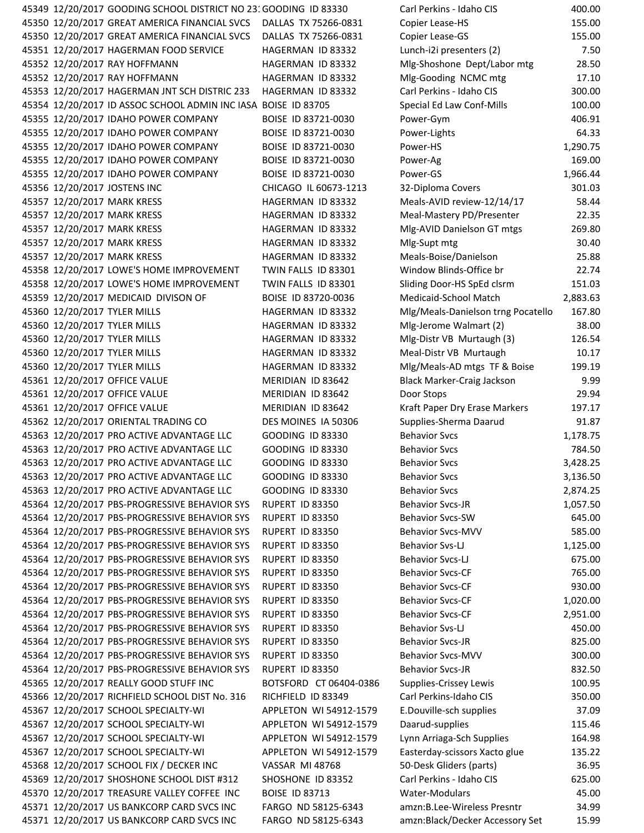|                               | 45349 12/20/2017 GOODING SCHOOL DISTRICT NO 23: GOODING ID 83330   |                         | Carl Perkins - Idaho CIS           | 400.00   |
|-------------------------------|--------------------------------------------------------------------|-------------------------|------------------------------------|----------|
|                               | 45350 12/20/2017 GREAT AMERICA FINANCIAL SVCS DALLAS TX 75266-0831 |                         | Copier Lease-HS                    | 155.00   |
|                               | 45350 12/20/2017 GREAT AMERICA FINANCIAL SVCS                      | DALLAS TX 75266-0831    | Copier Lease-GS                    | 155.00   |
|                               | 45351 12/20/2017 HAGERMAN FOOD SERVICE                             | HAGERMAN ID 83332       | Lunch-i2i presenters (2)           | 7.50     |
| 45352 12/20/2017 RAY HOFFMANN |                                                                    | HAGERMAN ID 83332       | Mlg-Shoshone Dept/Labor mtg        | 28.50    |
| 45352 12/20/2017 RAY HOFFMANN |                                                                    | HAGERMAN ID 83332       | Mlg-Gooding NCMC mtg               | 17.10    |
|                               | 45353 12/20/2017 HAGERMAN JNT SCH DISTRIC 233                      | HAGERMAN ID 83332       | Carl Perkins - Idaho CIS           | 300.00   |
|                               | 45354 12/20/2017 ID ASSOC SCHOOL ADMIN INC IASA BOISE ID 83705     |                         | Special Ed Law Conf-Mills          | 100.00   |
|                               | 45355 12/20/2017 IDAHO POWER COMPANY                               | BOISE ID 83721-0030     | Power-Gym                          | 406.91   |
|                               | 45355 12/20/2017 IDAHO POWER COMPANY                               | BOISE ID 83721-0030     | Power-Lights                       | 64.33    |
|                               | 45355 12/20/2017 IDAHO POWER COMPANY                               | BOISE ID 83721-0030     | Power-HS                           | 1,290.75 |
|                               |                                                                    |                         |                                    |          |
|                               | 45355 12/20/2017 IDAHO POWER COMPANY                               | BOISE ID 83721-0030     | Power-Ag                           | 169.00   |
|                               | 45355 12/20/2017 IDAHO POWER COMPANY                               | BOISE ID 83721-0030     | Power-GS                           | 1,966.44 |
| 45356 12/20/2017 JOSTENS INC  |                                                                    | CHICAGO IL 60673-1213   | 32-Diploma Covers                  | 301.03   |
| 45357 12/20/2017 MARK KRESS   |                                                                    | HAGERMAN ID 83332       | Meals-AVID review-12/14/17         | 58.44    |
| 45357 12/20/2017 MARK KRESS   |                                                                    | HAGERMAN ID 83332       | Meal-Mastery PD/Presenter          | 22.35    |
| 45357 12/20/2017 MARK KRESS   |                                                                    | HAGERMAN ID 83332       | Mlg-AVID Danielson GT mtgs         | 269.80   |
| 45357 12/20/2017 MARK KRESS   |                                                                    | HAGERMAN ID 83332       | Mlg-Supt mtg                       | 30.40    |
| 45357 12/20/2017 MARK KRESS   |                                                                    | HAGERMAN ID 83332       | Meals-Boise/Danielson              | 25.88    |
|                               | 45358 12/20/2017 LOWE'S HOME IMPROVEMENT                           | TWIN FALLS ID 83301     | Window Blinds-Office br            | 22.74    |
|                               | 45358 12/20/2017 LOWE'S HOME IMPROVEMENT                           | TWIN FALLS ID 83301     | Sliding Door-HS SpEd clsrm         | 151.03   |
|                               | 45359 12/20/2017 MEDICAID DIVISON OF                               | BOISE ID 83720-0036     | Medicaid-School Match              | 2,883.63 |
| 45360 12/20/2017 TYLER MILLS  |                                                                    | HAGERMAN ID 83332       | Mlg/Meals-Danielson trng Pocatello | 167.80   |
| 45360 12/20/2017 TYLER MILLS  |                                                                    | HAGERMAN ID 83332       | Mlg-Jerome Walmart (2)             | 38.00    |
| 45360 12/20/2017 TYLER MILLS  |                                                                    | HAGERMAN ID 83332       | Mlg-Distr VB Murtaugh (3)          | 126.54   |
| 45360 12/20/2017 TYLER MILLS  |                                                                    | HAGERMAN ID 83332       | Meal-Distr VB Murtaugh             | 10.17    |
| 45360 12/20/2017 TYLER MILLS  |                                                                    | HAGERMAN ID 83332       | Mlg/Meals-AD mtgs TF & Boise       | 199.19   |
| 45361 12/20/2017 OFFICE VALUE |                                                                    | MERIDIAN ID 83642       | Black Marker-Craig Jackson         | 9.99     |
| 45361 12/20/2017 OFFICE VALUE |                                                                    | MERIDIAN ID 83642       | Door Stops                         | 29.94    |
| 45361 12/20/2017 OFFICE VALUE |                                                                    | MERIDIAN ID 83642       | Kraft Paper Dry Erase Markers      | 197.17   |
|                               | 45362 12/20/2017 ORIENTAL TRADING CO                               | DES MOINES IA 50306     | Supplies-Sherma Daarud             | 91.87    |
|                               | 45363 12/20/2017 PRO ACTIVE ADVANTAGE LLC                          | <b>GOODING ID 83330</b> | <b>Behavior Svcs</b>               | 1,178.75 |
|                               | 45363 12/20/2017 PRO ACTIVE ADVANTAGE LLC                          | <b>GOODING ID 83330</b> | <b>Behavior Svcs</b>               | 784.50   |
|                               | 45363 12/20/2017 PRO ACTIVE ADVANTAGE LLC                          | <b>GOODING ID 83330</b> | <b>Behavior Svcs</b>               | 3,428.25 |
|                               | 45363 12/20/2017 PRO ACTIVE ADVANTAGE LLC                          | <b>GOODING ID 83330</b> | <b>Behavior Svcs</b>               | 3,136.50 |
|                               | 45363 12/20/2017 PRO ACTIVE ADVANTAGE LLC                          | <b>GOODING ID 83330</b> | <b>Behavior Svcs</b>               | 2,874.25 |
|                               | 45364 12/20/2017 PBS-PROGRESSIVE BEHAVIOR SYS                      | RUPERT ID 83350         | <b>Behavior Svcs-JR</b>            | 1,057.50 |
|                               | 45364 12/20/2017 PBS-PROGRESSIVE BEHAVIOR SYS                      | RUPERT ID 83350         | <b>Behavior Svcs-SW</b>            | 645.00   |
|                               | 45364 12/20/2017 PBS-PROGRESSIVE BEHAVIOR SYS                      | RUPERT ID 83350         | <b>Behavior Svcs-MVV</b>           | 585.00   |
|                               |                                                                    |                         |                                    |          |
|                               | 45364 12/20/2017 PBS-PROGRESSIVE BEHAVIOR SYS                      | RUPERT ID 83350         | Behavior Svs-LJ                    | 1,125.00 |
|                               | 45364 12/20/2017 PBS-PROGRESSIVE BEHAVIOR SYS                      | RUPERT ID 83350         | Behavior Svcs-LJ                   | 675.00   |
|                               | 45364 12/20/2017 PBS-PROGRESSIVE BEHAVIOR SYS                      | RUPERT ID 83350         | <b>Behavior Svcs-CF</b>            | 765.00   |
|                               | 45364 12/20/2017 PBS-PROGRESSIVE BEHAVIOR SYS                      | RUPERT ID 83350         | <b>Behavior Svcs-CF</b>            | 930.00   |
|                               | 45364 12/20/2017 PBS-PROGRESSIVE BEHAVIOR SYS                      | RUPERT ID 83350         | <b>Behavior Svcs-CF</b>            | 1,020.00 |
|                               | 45364 12/20/2017 PBS-PROGRESSIVE BEHAVIOR SYS                      | RUPERT ID 83350         | <b>Behavior Svcs-CF</b>            | 2,951.00 |
|                               | 45364 12/20/2017 PBS-PROGRESSIVE BEHAVIOR SYS                      | RUPERT ID 83350         | Behavior Svs-LJ                    | 450.00   |
|                               | 45364 12/20/2017 PBS-PROGRESSIVE BEHAVIOR SYS                      | RUPERT ID 83350         | <b>Behavior Svcs-JR</b>            | 825.00   |
|                               | 45364 12/20/2017 PBS-PROGRESSIVE BEHAVIOR SYS                      | RUPERT ID 83350         | <b>Behavior Svcs-MVV</b>           | 300.00   |
|                               | 45364 12/20/2017 PBS-PROGRESSIVE BEHAVIOR SYS                      | RUPERT ID 83350         | <b>Behavior Svcs-JR</b>            | 832.50   |
|                               | 45365 12/20/2017 REALLY GOOD STUFF INC                             | BOTSFORD CT 06404-0386  | Supplies-Crissey Lewis             | 100.95   |
|                               | 45366 12/20/2017 RICHFIELD SCHOOL DIST No. 316                     | RICHFIELD ID 83349      | Carl Perkins-Idaho CIS             | 350.00   |
|                               | 45367 12/20/2017 SCHOOL SPECIALTY-WI                               | APPLETON WI 54912-1579  | E.Douville-sch supplies            | 37.09    |
|                               | 45367 12/20/2017 SCHOOL SPECIALTY-WI                               | APPLETON WI 54912-1579  | Daarud-supplies                    | 115.46   |
|                               | 45367 12/20/2017 SCHOOL SPECIALTY-WI                               | APPLETON WI 54912-1579  | Lynn Arriaga-Sch Supplies          | 164.98   |
|                               | 45367 12/20/2017 SCHOOL SPECIALTY-WI                               | APPLETON WI 54912-1579  | Easterday-scissors Xacto glue      | 135.22   |
|                               | 45368 12/20/2017 SCHOOL FIX / DECKER INC                           | <b>VASSAR MI 48768</b>  | 50-Desk Gliders (parts)            | 36.95    |
|                               | 45369 12/20/2017 SHOSHONE SCHOOL DIST #312                         | SHOSHONE ID 83352       | Carl Perkins - Idaho CIS           | 625.00   |
|                               | 45370 12/20/2017 TREASURE VALLEY COFFEE INC                        | <b>BOISE ID 83713</b>   | Water-Modulars                     | 45.00    |
|                               | 45371 12/20/2017 US BANKCORP CARD SVCS INC                         | FARGO ND 58125-6343     | amzn:B.Lee-Wireless Presntr        | 34.99    |
|                               | 45371 12/20/2017 US BANKCORP CARD SVCS INC                         | FARGO ND 58125-6343     | amzn:Black/Decker Accessory Set    | 15.99    |
|                               |                                                                    |                         |                                    |          |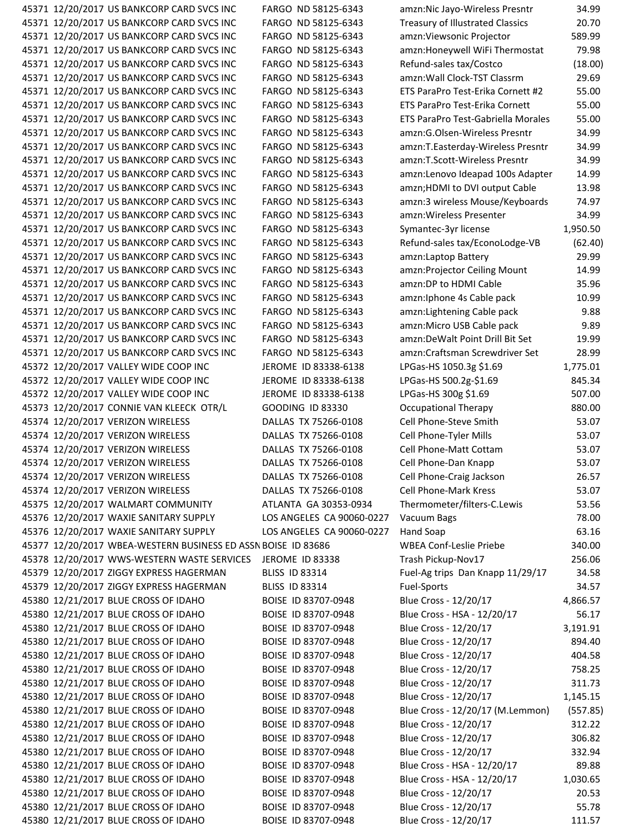| 45371 12/20/2017 US BANKCORP CARD SVCS INC                    | FARGO ND 58125-6343       | amzn:Nic Jayo-Wireless Presntr          | 34.99    |
|---------------------------------------------------------------|---------------------------|-----------------------------------------|----------|
| 45371 12/20/2017 US BANKCORP CARD SVCS INC                    | FARGO ND 58125-6343       | <b>Treasury of Illustrated Classics</b> | 20.70    |
| 45371 12/20/2017 US BANKCORP CARD SVCS INC                    | FARGO ND 58125-6343       | amzn: Viewsonic Projector               | 589.99   |
| 45371 12/20/2017 US BANKCORP CARD SVCS INC                    | FARGO ND 58125-6343       | amzn:Honeywell WiFi Thermostat          | 79.98    |
| 45371 12/20/2017 US BANKCORP CARD SVCS INC                    | FARGO ND 58125-6343       | Refund-sales tax/Costco                 | (18.00)  |
| 45371 12/20/2017 US BANKCORP CARD SVCS INC                    | FARGO ND 58125-6343       | amzn: Wall Clock-TST Classrm            | 29.69    |
| 45371 12/20/2017 US BANKCORP CARD SVCS INC                    | FARGO ND 58125-6343       | ETS ParaPro Test-Erika Cornett #2       | 55.00    |
| 45371 12/20/2017 US BANKCORP CARD SVCS INC                    | FARGO ND 58125-6343       | ETS ParaPro Test-Erika Cornett          | 55.00    |
| 45371 12/20/2017 US BANKCORP CARD SVCS INC                    | FARGO ND 58125-6343       | ETS ParaPro Test-Gabriella Morales      | 55.00    |
| 45371 12/20/2017 US BANKCORP CARD SVCS INC                    | FARGO ND 58125-6343       | amzn:G.Olsen-Wireless Presntr           | 34.99    |
| 45371 12/20/2017 US BANKCORP CARD SVCS INC                    | FARGO ND 58125-6343       | amzn:T.Easterday-Wireless Presntr       | 34.99    |
| 45371 12/20/2017 US BANKCORP CARD SVCS INC                    | FARGO ND 58125-6343       | amzn:T.Scott-Wireless Presntr           | 34.99    |
| 45371 12/20/2017 US BANKCORP CARD SVCS INC                    | FARGO ND 58125-6343       | amzn:Lenovo Ideapad 100s Adapter        | 14.99    |
| 45371 12/20/2017 US BANKCORP CARD SVCS INC                    | FARGO ND 58125-6343       | amzn;HDMI to DVI output Cable           | 13.98    |
| 45371 12/20/2017 US BANKCORP CARD SVCS INC                    | FARGO ND 58125-6343       | amzn:3 wireless Mouse/Keyboards         | 74.97    |
| 45371 12/20/2017 US BANKCORP CARD SVCS INC                    | FARGO ND 58125-6343       | amzn: Wireless Presenter                | 34.99    |
| 45371 12/20/2017 US BANKCORP CARD SVCS INC                    | FARGO ND 58125-6343       | Symantec-3yr license                    | 1,950.50 |
| 45371 12/20/2017 US BANKCORP CARD SVCS INC                    | FARGO ND 58125-6343       | Refund-sales tax/EconoLodge-VB          | (62.40)  |
|                                                               |                           |                                         | 29.99    |
| 45371 12/20/2017 US BANKCORP CARD SVCS INC                    | FARGO ND 58125-6343       | amzn:Laptop Battery                     | 14.99    |
| 45371 12/20/2017 US BANKCORP CARD SVCS INC                    | FARGO ND 58125-6343       | amzn:Projector Ceiling Mount            |          |
| 45371 12/20/2017 US BANKCORP CARD SVCS INC                    | FARGO ND 58125-6343       | amzn:DP to HDMI Cable                   | 35.96    |
| 45371 12/20/2017 US BANKCORP CARD SVCS INC                    | FARGO ND 58125-6343       | amzn: Iphone 4s Cable pack              | 10.99    |
| 45371 12/20/2017 US BANKCORP CARD SVCS INC                    | FARGO ND 58125-6343       | amzn:Lightening Cable pack              | 9.88     |
| 45371 12/20/2017 US BANKCORP CARD SVCS INC                    | FARGO ND 58125-6343       | amzn: Micro USB Cable pack              | 9.89     |
| 45371 12/20/2017 US BANKCORP CARD SVCS INC                    | FARGO ND 58125-6343       | amzn:DeWalt Point Drill Bit Set         | 19.99    |
| 45371 12/20/2017 US BANKCORP CARD SVCS INC                    | FARGO ND 58125-6343       | amzn:Craftsman Screwdriver Set          | 28.99    |
| 45372 12/20/2017 VALLEY WIDE COOP INC                         | JEROME ID 83338-6138      | LPGas-HS 1050.3g \$1.69                 | 1,775.01 |
| 45372 12/20/2017 VALLEY WIDE COOP INC                         | JEROME ID 83338-6138      | LPGas-HS 500.2g-\$1.69                  | 845.34   |
| 45372 12/20/2017 VALLEY WIDE COOP INC                         | JEROME ID 83338-6138      | LPGas-HS 300g \$1.69                    | 507.00   |
| 45373 12/20/2017 CONNIE VAN KLEECK OTR/L                      | <b>GOODING ID 83330</b>   | <b>Occupational Therapy</b>             | 880.00   |
| 45374 12/20/2017 VERIZON WIRELESS                             | DALLAS TX 75266-0108      | Cell Phone-Steve Smith                  | 53.07    |
| 45374 12/20/2017 VERIZON WIRELESS                             | DALLAS TX 75266-0108      | Cell Phone-Tyler Mills                  | 53.07    |
| 45374 12/20/2017 VERIZON WIRELESS                             | DALLAS TX 75266-0108      | Cell Phone-Matt Cottam                  | 53.07    |
| 45374 12/20/2017 VERIZON WIRELESS                             | DALLAS TX 75266-0108      | Cell Phone-Dan Knapp                    | 53.07    |
| 45374 12/20/2017 VERIZON WIRELESS                             | DALLAS TX 75266-0108      | Cell Phone-Craig Jackson                | 26.57    |
| 45374 12/20/2017 VERIZON WIRELESS                             | DALLAS TX 75266-0108      | Cell Phone-Mark Kress                   | 53.07    |
| 45375 12/20/2017 WALMART COMMUNITY                            | ATLANTA GA 30353-0934     | Thermometer/filters-C.Lewis             | 53.56    |
| 45376 12/20/2017 WAXIE SANITARY SUPPLY                        | LOS ANGELES CA 90060-0227 | Vacuum Bags                             | 78.00    |
| 45376 12/20/2017 WAXIE SANITARY SUPPLY                        | LOS ANGELES CA 90060-0227 | Hand Soap                               | 63.16    |
| 45377 12/20/2017 WBEA-WESTERN BUSINESS ED ASSN BOISE ID 83686 |                           | <b>WBEA Conf-Leslie Priebe</b>          | 340.00   |
| 45378 12/20/2017 WWS-WESTERN WASTE SERVICES                   | <b>JEROME ID 83338</b>    | Trash Pickup-Nov17                      | 256.06   |
| 45379 12/20/2017 ZIGGY EXPRESS HAGERMAN                       | <b>BLISS ID 83314</b>     | Fuel-Ag trips Dan Knapp 11/29/17        | 34.58    |
| 45379 12/20/2017 ZIGGY EXPRESS HAGERMAN                       | <b>BLISS ID 83314</b>     | Fuel-Sports                             | 34.57    |
| 45380 12/21/2017 BLUE CROSS OF IDAHO                          | BOISE ID 83707-0948       | Blue Cross - 12/20/17                   | 4,866.57 |
| 45380 12/21/2017 BLUE CROSS OF IDAHO                          | BOISE ID 83707-0948       | Blue Cross - HSA - 12/20/17             | 56.17    |
| 45380 12/21/2017 BLUE CROSS OF IDAHO                          | BOISE ID 83707-0948       | Blue Cross - 12/20/17                   | 3,191.91 |
| 45380 12/21/2017 BLUE CROSS OF IDAHO                          | BOISE ID 83707-0948       | Blue Cross - 12/20/17                   | 894.40   |
| 45380 12/21/2017 BLUE CROSS OF IDAHO                          | BOISE ID 83707-0948       | Blue Cross - 12/20/17                   | 404.58   |
| 45380 12/21/2017 BLUE CROSS OF IDAHO                          | BOISE ID 83707-0948       | Blue Cross - 12/20/17                   | 758.25   |
| 45380 12/21/2017 BLUE CROSS OF IDAHO                          | BOISE ID 83707-0948       | Blue Cross - 12/20/17                   | 311.73   |
| 45380 12/21/2017 BLUE CROSS OF IDAHO                          | BOISE ID 83707-0948       | Blue Cross - 12/20/17                   | 1,145.15 |
| 45380 12/21/2017 BLUE CROSS OF IDAHO                          | BOISE ID 83707-0948       | Blue Cross - 12/20/17 (M.Lemmon)        | (557.85) |
| 45380 12/21/2017 BLUE CROSS OF IDAHO                          | BOISE ID 83707-0948       | Blue Cross - 12/20/17                   | 312.22   |
| 45380 12/21/2017 BLUE CROSS OF IDAHO                          | BOISE ID 83707-0948       | Blue Cross - 12/20/17                   | 306.82   |
| 45380 12/21/2017 BLUE CROSS OF IDAHO                          | BOISE ID 83707-0948       | Blue Cross - 12/20/17                   | 332.94   |
| 45380 12/21/2017 BLUE CROSS OF IDAHO                          | BOISE ID 83707-0948       | Blue Cross - HSA - 12/20/17             | 89.88    |
| 45380 12/21/2017 BLUE CROSS OF IDAHO                          | BOISE ID 83707-0948       | Blue Cross - HSA - 12/20/17             | 1,030.65 |
| 45380 12/21/2017 BLUE CROSS OF IDAHO                          | BOISE ID 83707-0948       | Blue Cross - 12/20/17                   | 20.53    |
| 45380 12/21/2017 BLUE CROSS OF IDAHO                          | BOISE ID 83707-0948       | Blue Cross - 12/20/17                   | 55.78    |
| 45380 12/21/2017 BLUE CROSS OF IDAHO                          | BOISE ID 83707-0948       | Blue Cross - 12/20/17                   | 111.57   |
|                                                               |                           |                                         |          |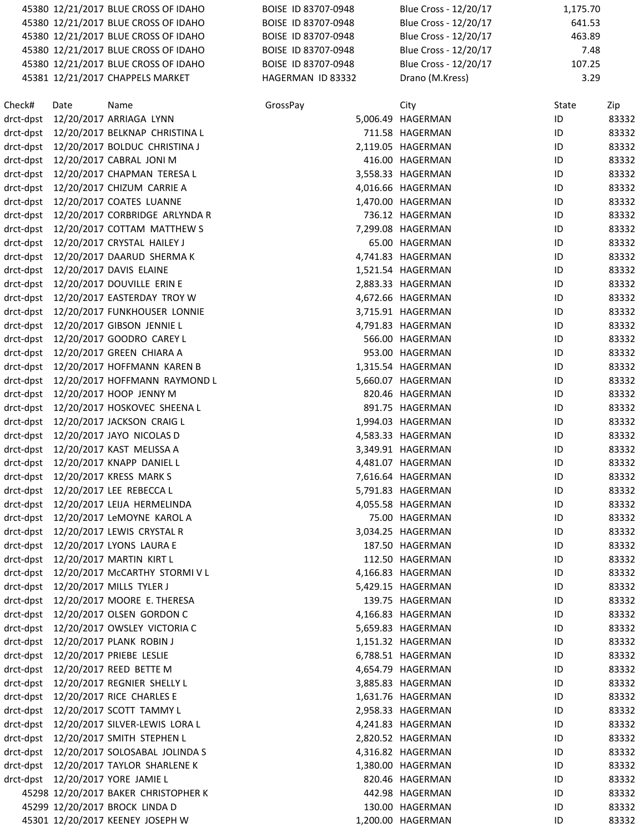|           |      | 45380 12/21/2017 BLUE CROSS OF IDAHO     | BOISE ID 83707-0948 | Blue Cross - 12/20/17 |       | 1,175.70 |
|-----------|------|------------------------------------------|---------------------|-----------------------|-------|----------|
|           |      | 45380 12/21/2017 BLUE CROSS OF IDAHO     | BOISE ID 83707-0948 | Blue Cross - 12/20/17 |       | 641.53   |
|           |      | 45380 12/21/2017 BLUE CROSS OF IDAHO     | BOISE ID 83707-0948 | Blue Cross - 12/20/17 |       | 463.89   |
|           |      | 45380 12/21/2017 BLUE CROSS OF IDAHO     | BOISE ID 83707-0948 | Blue Cross - 12/20/17 |       | 7.48     |
|           |      | 45380 12/21/2017 BLUE CROSS OF IDAHO     | BOISE ID 83707-0948 | Blue Cross - 12/20/17 |       | 107.25   |
|           |      | 45381 12/21/2017 CHAPPELS MARKET         | HAGERMAN ID 83332   | Drano (M.Kress)       |       | 3.29     |
| Check#    | Date | Name                                     | GrossPay            | City                  | State | Zip      |
| drct-dpst |      | 12/20/2017 ARRIAGA LYNN                  |                     | 5,006.49 HAGERMAN     | ID    | 83332    |
| drct-dpst |      | 12/20/2017 BELKNAP CHRISTINA L           |                     | 711.58 HAGERMAN       | ID    | 83332    |
| drct-dpst |      | 12/20/2017 BOLDUC CHRISTINA J            |                     | 2,119.05 HAGERMAN     | ID    | 83332    |
|           |      | drct-dpst 12/20/2017 CABRAL JONI M       |                     | 416.00 HAGERMAN       | ID    | 83332    |
|           |      | drct-dpst 12/20/2017 CHAPMAN TERESA L    |                     | 3,558.33 HAGERMAN     | ID    | 83332    |
|           |      | drct-dpst 12/20/2017 CHIZUM CARRIE A     |                     | 4,016.66 HAGERMAN     | ID    | 83332    |
| drct-dpst |      | 12/20/2017 COATES LUANNE                 |                     | 1,470.00 HAGERMAN     | ID    | 83332    |
| drct-dpst |      | 12/20/2017 CORBRIDGE ARLYNDA R           |                     | 736.12 HAGERMAN       | ID    | 83332    |
| drct-dpst |      | 12/20/2017 COTTAM MATTHEW S              |                     | 7,299.08 HAGERMAN     | ID    | 83332    |
|           |      | drct-dpst 12/20/2017 CRYSTAL HAILEY J    |                     | 65.00 HAGERMAN        | ID    | 83332    |
|           |      | drct-dpst 12/20/2017 DAARUD SHERMA K     |                     | 4,741.83 HAGERMAN     | ID    | 83332    |
|           |      | drct-dpst 12/20/2017 DAVIS ELAINE        |                     | 1,521.54 HAGERMAN     | ID    | 83332    |
| drct-dpst |      | 12/20/2017 DOUVILLE ERIN E               |                     | 2,883.33 HAGERMAN     | ID    | 83332    |
| drct-dpst |      | 12/20/2017 EASTERDAY TROY W              |                     | 4,672.66 HAGERMAN     | ID    | 83332    |
| drct-dpst |      | 12/20/2017 FUNKHOUSER LONNIE             |                     | 3,715.91 HAGERMAN     | ID    | 83332    |
|           |      | drct-dpst 12/20/2017 GIBSON JENNIE L     |                     | 4,791.83 HAGERMAN     | ID    | 83332    |
| drct-dpst |      | 12/20/2017 GOODRO CAREY L                |                     | 566.00 HAGERMAN       | ID    | 83332    |
| drct-dpst |      | 12/20/2017 GREEN CHIARA A                |                     | 953.00 HAGERMAN       | ID    | 83332    |
| drct-dpst |      | 12/20/2017 HOFFMANN KAREN B              |                     | 1,315.54 HAGERMAN     | ID    | 83332    |
| drct-dpst |      | 12/20/2017 HOFFMANN RAYMOND L            |                     | 5,660.07 HAGERMAN     | ID    | 83332    |
|           |      | drct-dpst 12/20/2017 HOOP JENNY M        |                     | 820.46 HAGERMAN       | ID    | 83332    |
|           |      | drct-dpst 12/20/2017 HOSKOVEC SHEENA L   |                     | 891.75 HAGERMAN       | ID    | 83332    |
|           |      | drct-dpst 12/20/2017 JACKSON CRAIG L     |                     | 1,994.03 HAGERMAN     | ID    | 83332    |
| drct-dpst |      | 12/20/2017 JAYO NICOLAS D                |                     | 4,583.33 HAGERMAN     | ID    | 83332    |
| drct-dpst |      | 12/20/2017 KAST MELISSA A                |                     | 3,349.91 HAGERMAN     | ID    | 83332    |
| drct-dpst |      | 12/20/2017 KNAPP DANIEL L                |                     | 4,481.07 HAGERMAN     | ID    | 83332    |
|           |      | drct-dpst 12/20/2017 KRESS MARK S        |                     | 7,616.64 HAGERMAN     | ID    | 83332    |
|           |      | drct-dpst 12/20/2017 LEE REBECCA L       |                     | 5,791.83 HAGERMAN     | ID    | 83332    |
|           |      | drct-dpst 12/20/2017 LEIJA HERMELINDA    |                     | 4,055.58 HAGERMAN     | ID    | 83332    |
|           |      | drct-dpst 12/20/2017 LeMOYNE KAROL A     |                     | 75.00 HAGERMAN        | ID    | 83332    |
|           |      | drct-dpst 12/20/2017 LEWIS CRYSTAL R     |                     | 3,034.25 HAGERMAN     | ID    | 83332    |
|           |      | drct-dpst 12/20/2017 LYONS LAURA E       |                     | 187.50 HAGERMAN       | ID    | 83332    |
|           |      | drct-dpst 12/20/2017 MARTIN KIRT L       |                     | 112.50 HAGERMAN       | ID    | 83332    |
|           |      | drct-dpst 12/20/2017 McCARTHY STORMIVL   |                     | 4,166.83 HAGERMAN     | ID    | 83332    |
|           |      | drct-dpst 12/20/2017 MILLS TYLER J       |                     | 5,429.15 HAGERMAN     | ID    | 83332    |
|           |      | drct-dpst 12/20/2017 MOORE E. THERESA    |                     | 139.75 HAGERMAN       | ID    | 83332    |
|           |      | drct-dpst 12/20/2017 OLSEN GORDON C      |                     | 4,166.83 HAGERMAN     | ID    | 83332    |
|           |      | drct-dpst 12/20/2017 OWSLEY VICTORIA C   |                     | 5,659.83 HAGERMAN     | ID    | 83332    |
|           |      | drct-dpst 12/20/2017 PLANK ROBIN J       |                     | 1,151.32 HAGERMAN     | ID    | 83332    |
|           |      | drct-dpst 12/20/2017 PRIEBE LESLIE       |                     | 6,788.51 HAGERMAN     | ID    | 83332    |
|           |      | drct-dpst 12/20/2017 REED BETTE M        |                     | 4,654.79 HAGERMAN     | ID    | 83332    |
|           |      | drct-dpst 12/20/2017 REGNIER SHELLY L    |                     | 3,885.83 HAGERMAN     | ID    | 83332    |
|           |      | drct-dpst 12/20/2017 RICE CHARLES E      |                     | 1,631.76 HAGERMAN     | ID    | 83332    |
|           |      | drct-dpst 12/20/2017 SCOTT TAMMY L       |                     | 2,958.33 HAGERMAN     | ID    | 83332    |
|           |      | drct-dpst 12/20/2017 SILVER-LEWIS LORA L |                     | 4,241.83 HAGERMAN     | ID    | 83332    |
|           |      | drct-dpst 12/20/2017 SMITH STEPHEN L     |                     | 2,820.52 HAGERMAN     | ID    | 83332    |
|           |      | drct-dpst 12/20/2017 SOLOSABAL JOLINDA S |                     | 4,316.82 HAGERMAN     | ID    | 83332    |
|           |      | drct-dpst 12/20/2017 TAYLOR SHARLENE K   |                     | 1,380.00 HAGERMAN     | ID    | 83332    |
|           |      | drct-dpst 12/20/2017 YORE JAMIE L        |                     | 820.46 HAGERMAN       | ID    | 83332    |
|           |      | 45298 12/20/2017 BAKER CHRISTOPHER K     |                     | 442.98 HAGERMAN       | ID    | 83332    |
|           |      | 45299 12/20/2017 BROCK LINDA D           |                     | 130.00 HAGERMAN       | ID    | 83332    |
|           |      | 45301 12/20/2017 KEENEY JOSEPH W         |                     | 1,200.00 HAGERMAN     | ID    | 83332    |
|           |      |                                          |                     |                       |       |          |